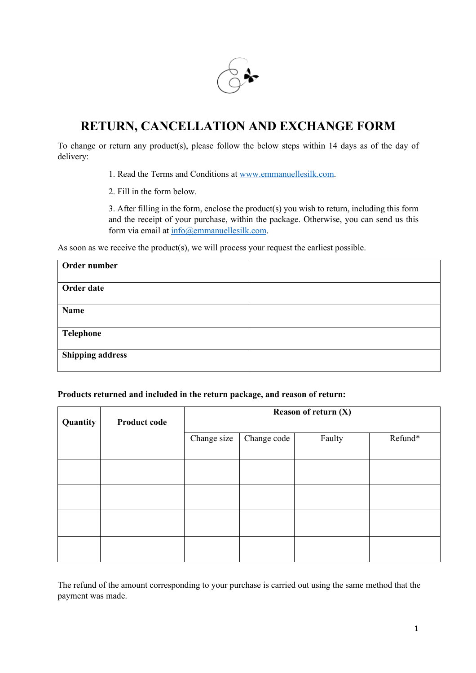

## **RETURN, CANCELLATION AND EXCHANGE FORM**

To change or return any product(s), please follow the below steps within 14 days as of the day of delivery:

1. Read the Terms and Conditions at www.emmanuellesilk.com.

2. Fill in the form below.

3. After filling in the form, enclose the product(s) you wish to return, including this form and the receipt of your purchase, within the package. Otherwise, you can send us this form via email at info@emmanuellesilk.com.

As soon as we receive the product(s), we will process your request the earliest possible.

| Order number            |  |
|-------------------------|--|
| Order date              |  |
| Name                    |  |
| Telephone               |  |
| <b>Shipping address</b> |  |

## **Products returned and included in the return package, and reason of return:**

| Quantity | <b>Product code</b> | Reason of return $(X)$ |             |        |         |
|----------|---------------------|------------------------|-------------|--------|---------|
|          |                     | Change size            | Change code | Faulty | Refund* |
|          |                     |                        |             |        |         |
|          |                     |                        |             |        |         |
|          |                     |                        |             |        |         |
|          |                     |                        |             |        |         |

The refund of the amount corresponding to your purchase is carried out using the same method that the payment was made.